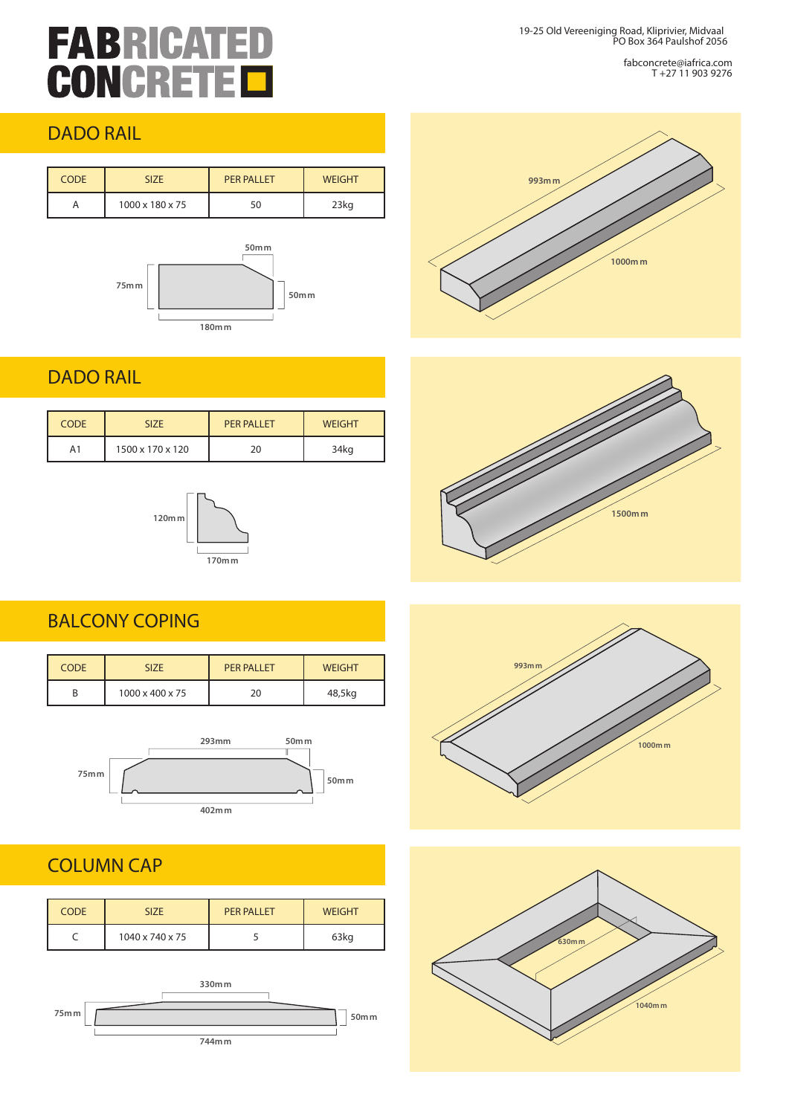## **FABRICATED CONCRETE**

19-25 Old Vereeniging Road, Kliprivier, Midvaal PO Box 364 Paulshof 2056

> fabconcrete@iafrica.com T +27 11 903 9276

#### DADO RAIL

| <b>CODE</b> | <b>SIZE</b>     | <b>PER PALLET</b> | <b>WEIGHT</b> |
|-------------|-----------------|-------------------|---------------|
| A           | 1000 x 180 x 75 | 50                | 23kg          |



#### DADO RAIL

| <b>CODE</b> | <b>SIZE</b>      | <b>PER PALLET</b> | <b>WEIGHT</b> |
|-------------|------------------|-------------------|---------------|
| A1          | 1500 x 170 x 120 |                   | 34kg          |



#### BALCONY COPING

| <b>CODE</b> | <b>SIZE</b>     | <b>PER PALLET</b> | <b>WEIGHT</b> |
|-------------|-----------------|-------------------|---------------|
|             | 1000 x 400 x 75 | 20                | 48,5kg        |



#### COLUMN CAP

| <b>CODE</b> | <b>SIZE</b>     | PFR PALLET | <b>WEIGHT</b> |
|-------------|-----------------|------------|---------------|
|             | 1040 x 740 x 75 |            | 63kg          |









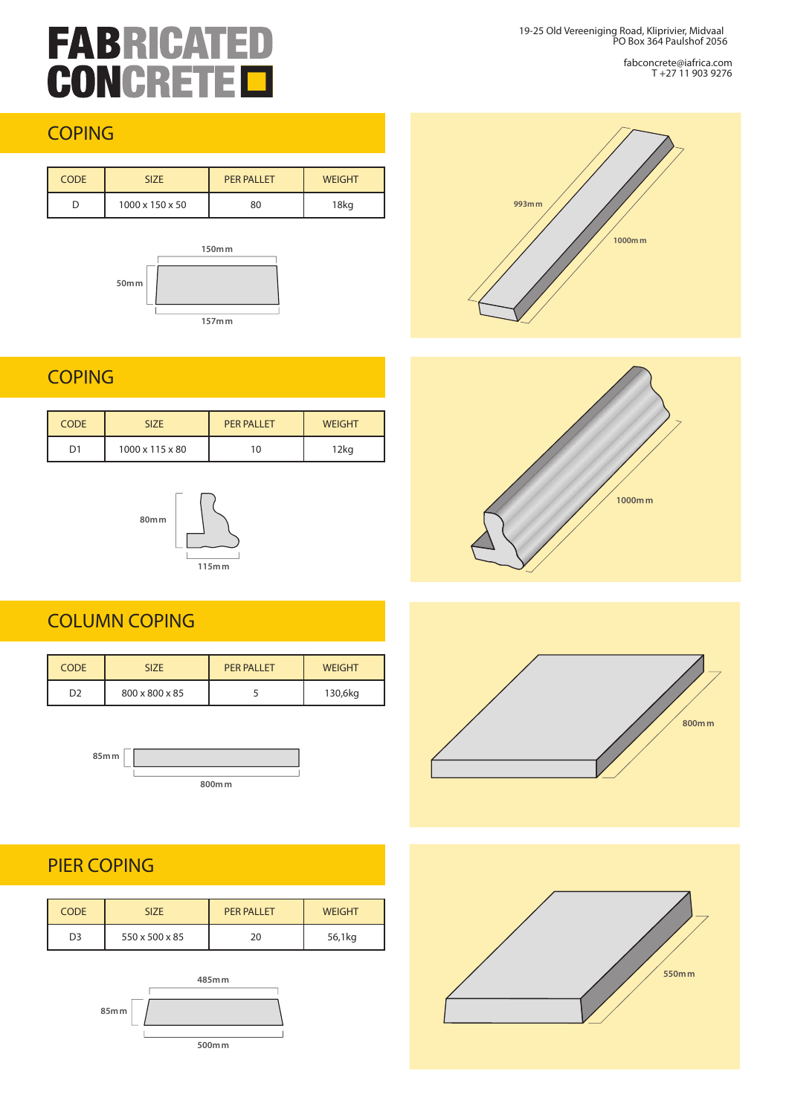# **FABRICATED**<br>**CONCRETED**

19-25 Old Vereeniging Road, Kliprivier, Midvaal PO Box 364 Paulshof 2056

> fabconcrete@iafrica.com T +27 11 903 9276

#### **COPING**

| <b>CODE</b> | <b>SIZE</b>     | PFR PALLET | <b>WEIGHT</b> |
|-------------|-----------------|------------|---------------|
|             | 1000 x 150 x 50 | 80         | 18kg          |



#### **COPING**

| <b>CODE</b> | <b>SIZE</b>     | <b>PER PALLET</b> | <b>WEIGHT</b> |
|-------------|-----------------|-------------------|---------------|
| D1          | 1000 x 115 x 80 | 10                | 12kg          |



#### COLUMN COPING

| <b>CODE</b>    | <b>SIZE</b>    | <b>PER PALLET</b> | <b>WEIGHT</b> |
|----------------|----------------|-------------------|---------------|
| D <sub>2</sub> | 800 x 800 x 85 |                   | 130,6kg       |





#### PIER COPING

| <b>CODE</b>    | <b>SIZE</b>    | PFR PALLET | <b>WEIGHT</b> |
|----------------|----------------|------------|---------------|
| D <sub>3</sub> | 550 x 500 x 85 | 20         | 56,1kg        |







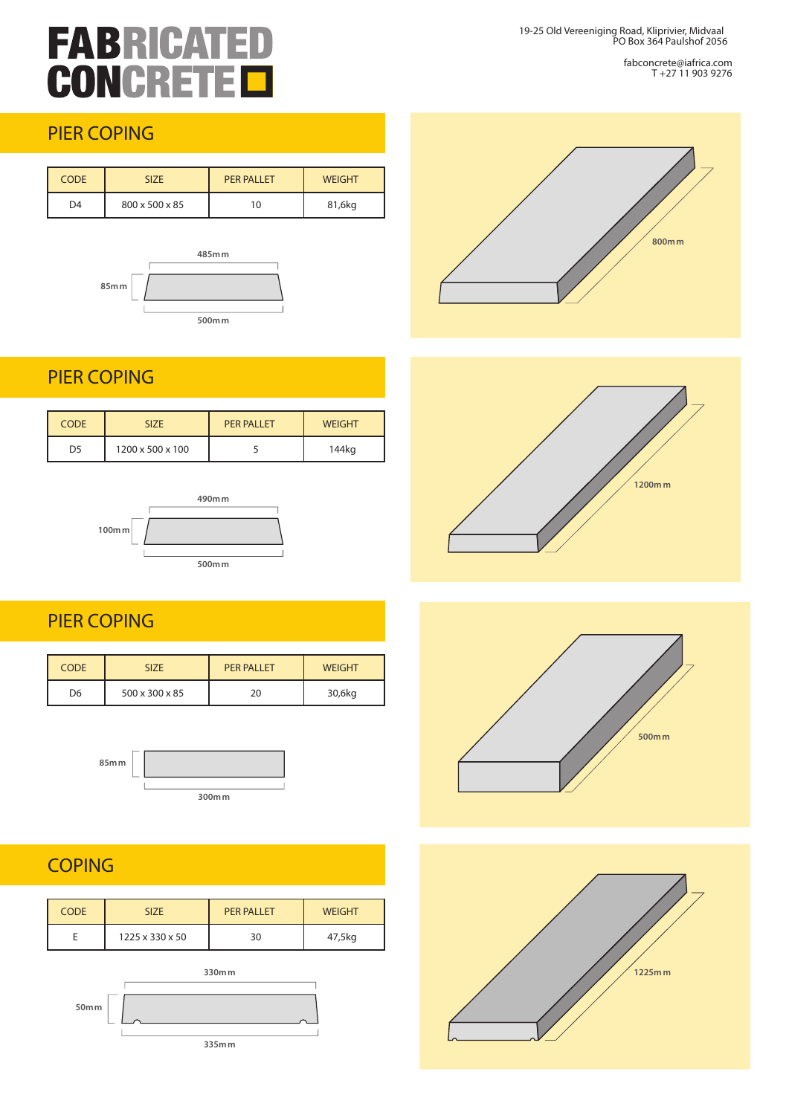### **FABRICAT** F **CONCRETE**

19-25 Old Vereeniging Road, Kliprivier, Midvaal PO Box 364 Paulshof 2056

> fabconcrete@iafrica.com T +27 11 903 9276

#### PIER COPING

| <b>CODE</b>    | <b>SIZE</b>    | <b>PER PALLET</b> | <b>WEIGHT</b> |
|----------------|----------------|-------------------|---------------|
| D <sub>4</sub> | 800 x 500 x 85 | 10                | 81,6kg        |



#### PIER COPING

| <b>CODE</b>    | <b>SIZE</b>      | PFR PALLET | <b>WEIGHT</b> |
|----------------|------------------|------------|---------------|
| D <sub>5</sub> | 1200 x 500 x 100 |            | 144kg         |



#### PIER COPING

| <b>CODE</b>    | <b>SIZE</b>    | <b>PER PALLET</b> | <b>WEIGHT</b> |
|----------------|----------------|-------------------|---------------|
| D <sub>6</sub> | 500 x 300 x 85 | 20                | 30,6kg        |



**300mm**

### **COPING**

| <b>CODE</b> | <b>SIZE</b>                 | <b>PER PALLET</b> | <b>WEIGHT</b> |
|-------------|-----------------------------|-------------------|---------------|
|             | $1225 \times 330 \times 50$ | 30                | 47,5kg        |